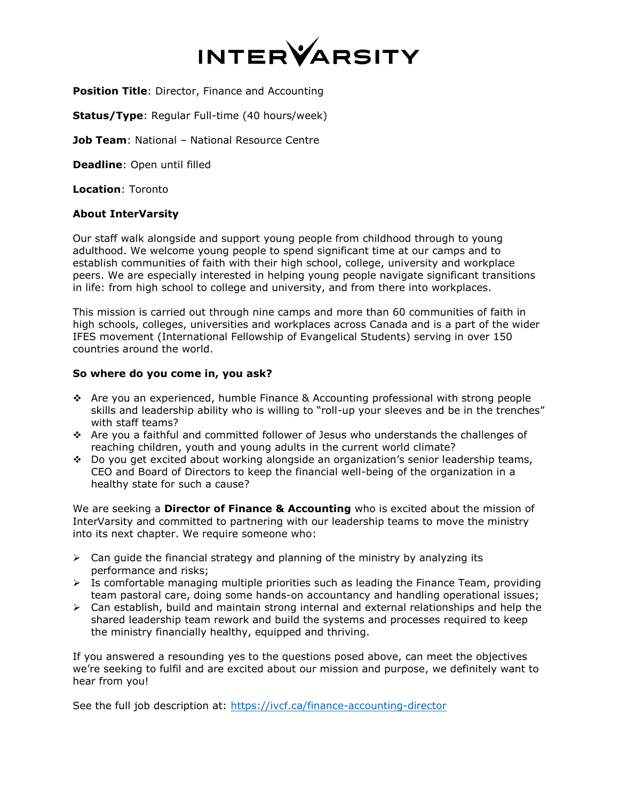

**Position Title: Director, Finance and Accounting** 

**Status/Type**: Regular Full-time (40 hours/week)

**Job Team: National - National Resource Centre** 

**Deadline**: Open until filled

**Location**: Toronto

## **About InterVarsity**

Our staff walk alongside and support young people from childhood through to young adulthood. We welcome young people to spend significant time at our camps and to establish communities of faith with their high school, college, university and workplace peers. We are especially interested in helping young people navigate significant transitions in life: from high school to college and university, and from there into workplaces.

This mission is carried out through nine camps and more than 60 communities of faith in high schools, colleges, universities and workplaces across Canada and is a part of the wider IFES movement (International Fellowship of Evangelical Students) serving in over 150 countries around the world.

## **So where do you come in, you ask?**

- Are you an experienced, humble Finance & Accounting professional with strong people skills and leadership ability who is willing to "roll-up your sleeves and be in the trenches" with staff teams?
- Are you a faithful and committed follower of Jesus who understands the challenges of reaching children, youth and young adults in the current world climate?
- Do you get excited about working alongside an organization's senior leadership teams, CEO and Board of Directors to keep the financial well-being of the organization in a healthy state for such a cause?

We are seeking a **Director of Finance & Accounting** who is excited about the mission of InterVarsity and committed to partnering with our leadership teams to move the ministry into its next chapter. We require someone who:

- $\triangleright$  Can guide the financial strategy and planning of the ministry by analyzing its performance and risks;
- $\triangleright$  Is comfortable managing multiple priorities such as leading the Finance Team, providing team pastoral care, doing some hands-on accountancy and handling operational issues;
- $\triangleright$  Can establish, build and maintain strong internal and external relationships and help the shared leadership team rework and build the systems and processes required to keep the ministry financially healthy, equipped and thriving.

If you answered a resounding yes to the questions posed above, can meet the objectives we're seeking to fulfil and are excited about our mission and purpose, we definitely want to hear from you!

See the full job description at: <https://ivcf.ca/finance-accounting-director>